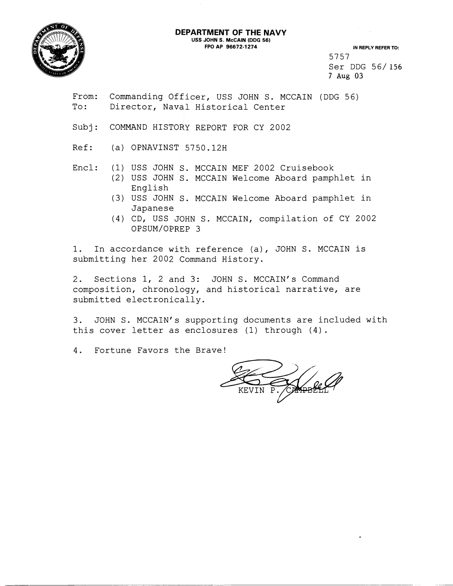# **DEPARTMENT OF THE NAVY**



**USS JOHN S. McCAlN (DDG 56)** 

**IN REPLY REFER TO:** 5757 Ser DDG 56/ **156**  7 Aug **03** 

From: Commanding Officer, USS JOHN S. MCCAIN (DDG 56) To: Director, Naval Historical Center

Subj: COMMAND HISTORY REPORT FOR CY 2002

Ref: (a) OPNAVINST 5750.12H

Encl: (1) USS JOHN S. MCCAIN MEF 2002 Cruisebook

- (2) USS JOHN S. MCCAIN Welcome Aboard pamphlet in English
- (3) USS JOHN S. MCCAIN Welcome Aboard pamphlet in Japanese
- (4) CD, USS JOHN S. MCCAIN, compilation of CY 2002 OPSUM/OPREP 3

1. In accordance with reference (a), JOHN S. MCCAIN is submitting her 2002 Command History.

2. Sections 1, 2 and 3: JOHN S. MCCAIN's Command composition, chronology, and historical narrative, are submitted electronically.

3. JOHN S. MCCAIN's supporting documents are included with this cover letter as enclosures (1) through (4).

4. Fortune Favors the Brave!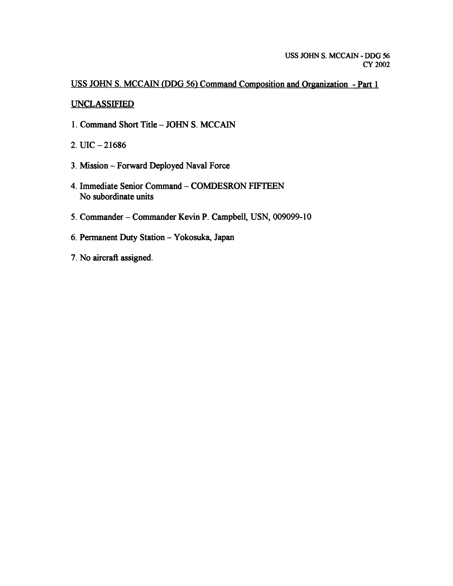**USS JOHN S. MCCATN (DDG 56) Command Composition and Organization** - **Part 1** 

### **UNCLASSIFIED**

- **1. Command Short Title JOHN S. MCCAIN**
- 2. UIC  $-21686$
- **3. Mission Forward Deployed Naval Force**
- **4. Immediate Senior Command COMDESRON FIFTEEN No subordinate units**
- **5. Commander Commander Kevin P. Campbell, USN, 009099-1 0**
- **6. Permanent Duty Station Yokosuka, Japan**
- **7. No aircraR assigned.**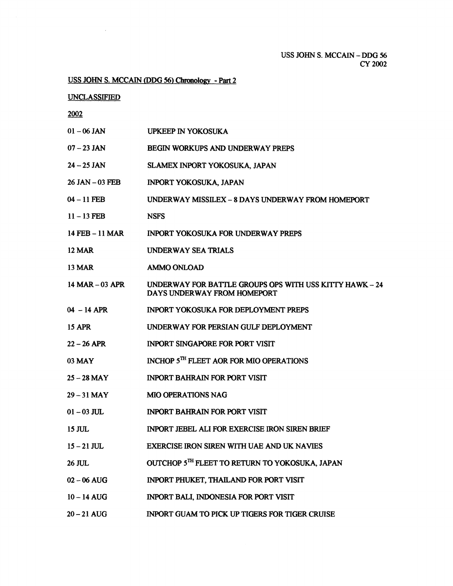USS JOHN S. MCCAIN - DDG 56 CY 2002

# <u>USS JOHN S. MCCAIN (DDG 56) Chronology - Part 2<br>UNCLASSIFIED<br>2002</u>

UNCLASSIFIED

 $\sim 10^{11}$ 

| $01 - 06$ JAN      | <b>UPKEEP IN YOKOSUKA</b>                                                              |
|--------------------|----------------------------------------------------------------------------------------|
| $07 - 23$ JAN      | BEGIN WORKUPS AND UNDERWAY PREPS                                                       |
| $24 - 25$ JAN      | SLAMEX INPORT YOKOSUKA, JAPAN                                                          |
| $26$ JAN $-03$ FEB | INPORT YOKOSUKA, JAPAN                                                                 |
| $04 - 11$ FEB      | UNDERWAY MISSILEX - 8 DAYS UNDERWAY FROM HOMEPORT                                      |
| $11 - 13$ FEB      | <b>NSFS</b>                                                                            |
| 14 FEB - 11 MAR    | INPORT YOKOSUKA FOR UNDERWAY PREPS                                                     |
| <b>12 MAR</b>      | UNDERWAY SEA TRIALS                                                                    |
| <b>13 MAR</b>      | <b>AMMO ONLOAD</b>                                                                     |
| 14 MAR - 03 APR    | UNDERWAY FOR BATTLE GROUPS OPS WITH USS KITTY HAWK - 24<br>DAYS UNDERWAY FROM HOMEPORT |
| $04 - 14$ APR      | <b>INPORT YOKOSUKA FOR DEPLOYMENT PREPS</b>                                            |
| <b>15 APR</b>      | UNDERWAY FOR PERSIAN GULF DEPLOYMENT                                                   |
| $22 - 26$ APR      | <b>INPORT SINGAPORE FOR PORT VISIT</b>                                                 |
| 03 MAY             | INCHOP 5TH FLEET AOR FOR MIO OPERATIONS                                                |
| $25 - 28$ MAY      | <b>INPORT BAHRAIN FOR PORT VISIT</b>                                                   |
| $29 - 31$ MAY      | <b>MIO OPERATIONS NAG</b>                                                              |
| $01 - 03$ JUL      | <b>INPORT BAHRAIN FOR PORT VISIT</b>                                                   |
| $15$ JUL           | <b>INPORT JEBEL ALI FOR EXERCISE IRON SIREN BRIEF</b>                                  |
| $15 - 21$ JUL      | EXERCISE IRON SIREN WITH UAE AND UK NAVIES                                             |
| 26 JUL             | OUTCHOP 5TH FLEET TO RETURN TO YOKOSUKA, JAPAN                                         |
| $02 - 06$ AUG      | INPORT PHUKET, THAILAND FOR PORT VISIT                                                 |
| $10 - 14$ AUG      | INPORT BALI, INDONESIA FOR PORT VISIT                                                  |
| $20 - 21$ AUG      | INPORT GUAM TO PICK UP TIGERS FOR TIGER CRUISE                                         |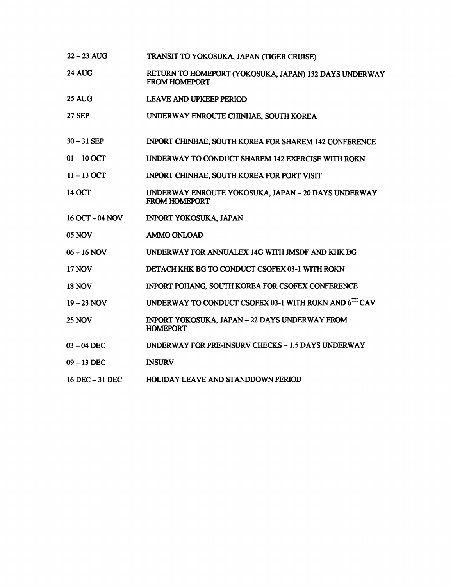- **<sup>22</sup> 23** AUG TRANSlT TO YOKOSUKA, JAPAN (TIGER CRUISE)
- **24** AUG RETURN TO HOMEPORT (YOKOSUKA, **JAPAN) 132** DAYS UNDERWAY FROM HOMEPORT
- **25** AUG LEAVE AND UPKEEP PERIOD
- **27** SEP UNDERWAY **ENROUTE** CHINHAE. **SOUTH** KOREA
- **30-31** SEP INPORT **CHINHAE,** SOUTH KOREA FOR SHAREM **142** CONFERENCE
- **<sup>01</sup> 10** OCT UNDERWAY TO CONDUCT SHAREM **142** EXERCISE WITH ROKN
- **11 -13OCT**  INPORT CHINHAE, SOUTH KOREA FOR PORT VISIT
- **14** OCT UNDERWAY ENROUTE YOKOSUKA, **JAPAN** - **20** DAYS UNDERWAY FROM HOMEPORT
- **16 OCT 04** NOV INPORT YOKOSUKA, **JAPAN**
- 05 NOV AMMO ONLOAD
- **<sup>06</sup> 16** NOV UNDERWAY FOR **ANNUALEX 14G** WITH JMSDF AND **KHK** BG
- **17** NOV DETACH **KHK** BG TO CONDUCT CSOFEX **03-1** WITH ROKN
- **18** NOV INPORT POHANG, SOUTH KOREA FOR CSOFEX CONFERENCE
- **<sup>19</sup> 23** NOV UNDERWAY TO CONDUCT CSOFEX **03-1** WITH ROKN **AND 6TH** CAV
- **25** NOV INPORT YOKOSUKA, JAPAN - **22** DAYS UNDERWAY FROM HOMEPORT
- **<sup>03</sup> 04** DEC UNDERWAY FOR PRE-INSURV CHECKS - **1.5** DAYS UNDERWAY
- **<sup>09</sup> 13** DEC **INSURV**
- **<sup>16</sup>**DEC **31** DEC HOLIDAY LEAVE AND STANDDOWN PERIOD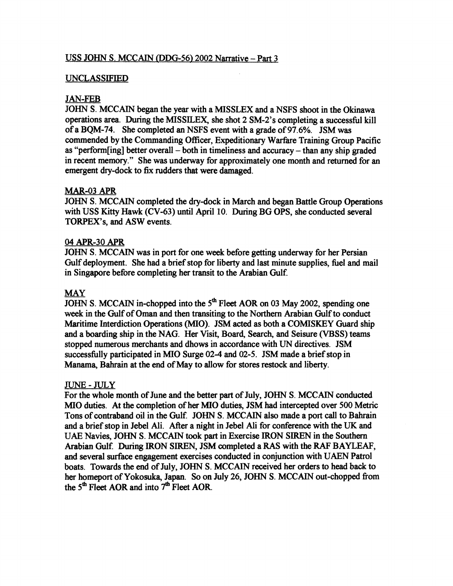## USS JOHN S. MCCAIN **(DDG-56)** 2002 Narrative - Part 3

### UNCLASSIFIED

### J **AN-FEB**

JOHN S. MCCAIN began the year with a MISSLEX and a NSFS shoot in the Okinawa operations area. During the MISSILEX, she shot  $2 \text{ SM-2's}$  completing a successful kill of a BQM-74. She completed an NSFS event with a grade of 97.6%. JSM was commended by the Commanding Officer, Expeditionary Warfare Training Group Pacific as "perform[ing] better overall  $-$  both in timeliness and accuracy  $-$  than any ship graded in recent memory." She was underway for approximately one month and returned for an emergent dry-dock to **fix** rudders that were damaged.

### MAR-03 APR

JOHN S. MCCAIN completed the dry-dock in March and began Battle Group Operations with USS Kitty Hawk (CV-63) until April 10. During BG OPS, she conducted several TORPEX's, and ASW events.

### 04 APR-30 APR

JOHN S. MCCAIN was in port for one week before getting underway for her Persian Gulf deployment. She had a brief stop for liberty and last minute supplies, fuel and mail in Singapore before completing her transit to the Arabian Gulf.

### MAY

JOHN S. MCCAIN in-chopped into the 5<sup>th</sup> Fleet AOR on 03 May 2002, spending one week in the Gulf of Oman and then transiting to the Northern Arabian Gulf to conduct Maritime Interdiction Operations **(MIO).** JSM **acted** as both a COMISKEY Guard ship and a boarding ship in the NAG. Her Visit, Board, Search, and Seisure (VBSS) teams stopped numerous merchants and dhows in accordance with **UN** directives. JSM successfblly participated in MI0 Surge 02-4 and 02-5. JSM made a brief stop in Manama, Bahrain at the end of May to allow for stores restock and liberty.

### JUNE-JULY

For the whole month of June and the better part of July, JOHN S. MCCAIN conducted MI0 duties. At the completion of her MI0 duties, JSM had intercepted over 500 Metric Tons of contraband oil in the Gulf. JOHN S. MCCAIN also made a port call to Bahrain and a brief stop in Jebel **Ali.** After a night in Jebel Ali for conference with the **UK** and UAE Navies, JOHN S. MCCAIN took part in Exercise IRON SIREN in the Southern Arabian Gulf. During IRON SIREN, JSM completed a RAS with the **RAF** BAYLEAF, and several surface engagement exercises conducted in conjunction with UAEN Patrol boats. Towards the end of July, JOHN S. MCCAlN received her orders to head back to her homeport of Yokosuka, Japan. So on July 26, JOHN S. MCCAIN out-chopped fiom the 5<sup>th</sup> Fleet AOR and into 7<sup>th</sup> Fleet AOR.